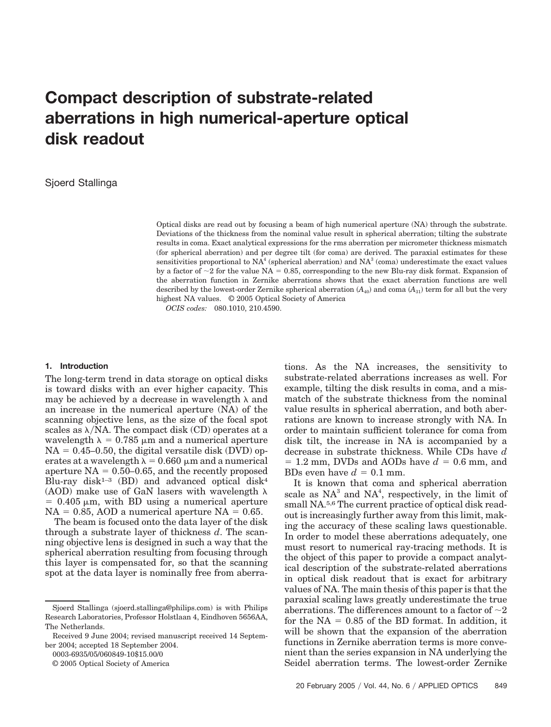# **Compact description of substrate-related aberrations in high numerical-aperture optical disk readout**

# Sjoerd Stallinga

Optical disks are read out by focusing a beam of high numerical aperture (NA) through the substrate. Deviations of the thickness from the nominal value result in spherical aberration; tilting the substrate results in coma. Exact analytical expressions for the rms aberration per micrometer thickness mismatch (for spherical aberration) and per degree tilt (for coma) are derived. The paraxial estimates for these sensitivities proportional to  $NA<sup>4</sup>$  (spherical aberration) and  $NA<sup>3</sup>$  (coma) underestimate the exact values by a factor of  $\sim$ 2 for the value NA = 0.85, corresponding to the new Blu-ray disk format. Expansion of the aberration function in Zernike aberrations shows that the exact aberration functions are well described by the lowest-order Zernike spherical aberration  $(A_{40})$  and coma  $(A_{31})$  term for all but the very highest NA values. © 2005 Optical Society of America

*OCIS codes:* 080.1010, 210.4590.

### **1. Introduction**

The long-term trend in data storage on optical disks is toward disks with an ever higher capacity. This may be achieved by a decrease in wavelength  $\lambda$  and an increase in the numerical aperture (NA) of the scanning objective lens, as the size of the focal spot scales as  $\lambda/NA$ . The compact disk (CD) operates at a wavelength  $\lambda = 0.785 \mu m$  and a numerical aperture  $NA = 0.45{\text -}0.50$ , the digital versatile disk (DVD) operates at a wavelength  $\lambda = 0.660 \mu m$  and a numerical aperture  $NA = 0.50-0.65$ , and the recently proposed Blu-ray disk<sup>1-3</sup> (BD) and advanced optical disk<sup>4</sup> (AOD) make use of GaN lasers with wavelength  $\lambda$  $= 0.405 \mu m$ , with BD using a numerical aperture  $NA = 0.85$ , AOD a numerical aperture  $NA = 0.65$ .

The beam is focused onto the data layer of the disk through a substrate layer of thickness *d*. The scanning objective lens is designed in such a way that the spherical aberration resulting from focusing through this layer is compensated for, so that the scanning spot at the data layer is nominally free from aberra-

0003-6935/05/060849-10\$15.00/0

© 2005 Optical Society of America

tions. As the NA increases, the sensitivity to substrate-related aberrations increases as well. For example, tilting the disk results in coma, and a mismatch of the substrate thickness from the nominal value results in spherical aberration, and both aberrations are known to increase strongly with NA. In order to maintain sufficient tolerance for coma from disk tilt, the increase in NA is accompanied by a decrease in substrate thickness. While CDs have *d*  $= 1.2$  mm, DVDs and AODs have  $d = 0.6$  mm, and BDs even have  $d = 0.1$  mm.

It is known that coma and spherical aberration scale as  $NA^3$  and  $NA^4$ , respectively, in the limit of small NA.5,6 The current practice of optical disk readout is increasingly further away from this limit, making the accuracy of these scaling laws questionable. In order to model these aberrations adequately, one must resort to numerical ray-tracing methods. It is the object of this paper to provide a compact analytical description of the substrate-related aberrations in optical disk readout that is exact for arbitrary values of NA. The main thesis of this paper is that the paraxial scaling laws greatly underestimate the true aberrations. The differences amount to a factor of  $\sim$ 2 for the  $NA = 0.85$  of the BD format. In addition, it will be shown that the expansion of the aberration functions in Zernike aberration terms is more convenient than the series expansion in NA underlying the Seidel aberration terms. The lowest-order Zernike

Sjoerd Stallinga (sjoerd.stallinga@philips.com) is with Philips Research Laboratories, Professor Holstlaan 4, Eindhoven 5656AA, The Netherlands.

Received 9 June 2004; revised manuscript received 14 September 2004; accepted 18 September 2004.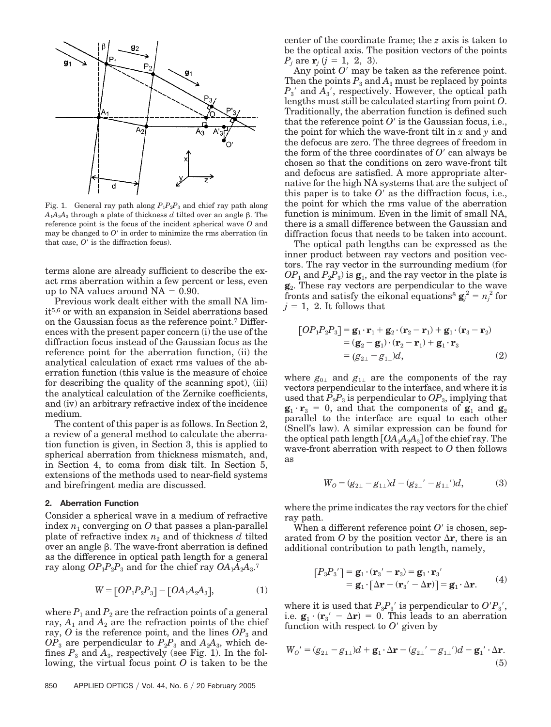

Fig. 1. General ray path along  $P_1P_2P_3$  and chief ray path along  $A_1A_2A_3$  through a plate of thickness *d* tilted over an angle  $\beta$ . The reference point is the focus of the incident spherical wave *O* and may be changed to  $O'$  in order to minimize the rms aberration (in that case,  $O'$  is the diffraction focus).

terms alone are already sufficient to describe the exact rms aberration within a few percent or less, even up to NA values around  $NA = 0.90$ .

Previous work dealt either with the small NA limit5,6 or with an expansion in Seidel aberrations based on the Gaussian focus as the reference point.7 Differences with the present paper concern (i) the use of the diffraction focus instead of the Gaussian focus as the reference point for the aberration function, (ii) the analytical calculation of exact rms values of the aberration function (this value is the measure of choice for describing the quality of the scanning spot), (iii) the analytical calculation of the Zernike coefficients, and (iv) an arbitrary refractive index of the incidence medium.

The content of this paper is as follows. In Section 2, a review of a general method to calculate the aberration function is given, in Section 3, this is applied to spherical aberration from thickness mismatch, and, in Section 4, to coma from disk tilt. In Section 5, extensions of the methods used to near-field systems and birefringent media are discussed.

#### **2. Aberration Function**

Consider a spherical wave in a medium of refractive index  $n_1$  converging on  $O$  that passes a plan-parallel plate of refractive index  $n_2$  and of thickness  $d$  tilted over an angle  $\beta$ . The wave-front aberration is defined as the difference in optical path length for a general ray along  $OP_1P_2P_3$  and for the chief ray  $OA_1A_2A_3$ .<sup>7</sup>

$$
W = [OP_1P_2P_3] - [OA_1A_2A_3], \tag{1}
$$

where  $P_1$  and  $P_2$  are the refraction points of a general ray,  $A_1$  and  $A_2$  are the refraction points of the chief ray,  $O$  is the reference point, and the lines  $OP_3$  and  $OP_3$  are perpendicular to  $P_2P_3$  and  $A_2A_3$ , which defines  $P_3$  and  $A_3$ , respectively (see Fig. 1). In the following, the virtual focus point *O* is taken to be the

center of the coordinate frame; the *z* axis is taken to be the optical axis. The position vectors of the points  $P_j$  are  $\mathbf{r}_j$   $(j = 1, 2, 3)$ .

Any point  $O'$  may be taken as the reference point. Then the points  $P_3$  and  $A_3$  must be replaced by points  $P_3'$  and  $\overline{A_3}$ , respectively. However, the optical path lengths must still be calculated starting from point *O*. Traditionally, the aberration function is defined such that the reference point  $O'$  is the Gaussian focus, i.e., the point for which the wave-front tilt in *x* and *y* and the defocus are zero. The three degrees of freedom in the form of the three coordinates of  $O<sup>2</sup>$  can always be chosen so that the conditions on zero wave-front tilt and defocus are satisfied. A more appropriate alternative for the high NA systems that are the subject of this paper is to take  $O'$  as the diffraction focus, i.e., the point for which the rms value of the aberration function is minimum. Even in the limit of small NA, there is a small difference between the Gaussian and diffraction focus that needs to be taken into account.

The optical path lengths can be expressed as the inner product between ray vectors and position vectors. The ray vector in the surrounding medium (for  $OP_1$  and  $P_2P_3$ ) is  $\mathbf{g}_1$ , and the ray vector in the plate is **g**2. These ray vectors are perpendicular to the wave fronts and satisfy the eikonal equations<sup>8</sup>  $\mathbf{g}_i^2 = n_j^2$  for  $j = 1$ , 2. It follows that

$$
[OP1P2P3] = \mathbf{g}_1 \cdot \mathbf{r}_1 + \mathbf{g}_2 \cdot (\mathbf{r}_2 - \mathbf{r}_1) + \mathbf{g}_1 \cdot (\mathbf{r}_3 - \mathbf{r}_2)
$$
  
=  $(\mathbf{g}_2 - \mathbf{g}_1) \cdot (\mathbf{r}_2 - \mathbf{r}_1) + \mathbf{g}_1 \cdot \mathbf{r}_3$   
=  $(g_{2\perp} - g_{1\perp})d$ , (2)

where  $g_{0\perp}$  and  $g_{1\perp}$  are the components of the ray vectors perpendicular to the interface, and where it is used that  $P_2P_3$  is perpendicular to  $OP_3$ , implying that  $\mathbf{g}_1 \cdot \mathbf{r}_3 = 0$ , and that the components of  $\mathbf{g}_1$  and  $\mathbf{g}_2$ parallel to the interface are equal to each other (Snell's law). A similar expression can be found for the optical path length  $[OA<sub>1</sub>A<sub>2</sub>A<sub>3</sub>]$  of the chief ray. The wave-front aberration with respect to *O* then follows as

$$
W_0 = (g_{2\perp} - g_{1\perp})d - (g_{2\perp}' - g_{1\perp}')d, \tag{3}
$$

where the prime indicates the ray vectors for the chief ray path.

When a different reference point  $O'$  is chosen, separated from O by the position vector  $\Delta$ **r**, there is an additional contribution to path length, namely,

$$
[P_3P_3'] = \mathbf{g}_1 \cdot (\mathbf{r}_3' - \mathbf{r}_3) = \mathbf{g}_1 \cdot \mathbf{r}_3'
$$
  
=  $\mathbf{g}_1 \cdot [\Delta \mathbf{r} + (\mathbf{r}_3' - \Delta \mathbf{r})] = \mathbf{g}_1 \cdot \Delta \mathbf{r}.$  (4)

where it is used that  $P_3P_3$ <sup>*'*</sup> is perpendicular to  $O/P_3$ <sup>'</sup>, i.e.  $\mathbf{g}_1 \cdot (\mathbf{r}_3' - \Delta \mathbf{r}) = 0$ . This leads to an aberration function with respect to  $O'$  given by

$$
W_O' = (g_{2\perp} - g_{1\perp})d + \mathbf{g}_1 \cdot \Delta \mathbf{r} - (g_{2\perp}' - g_{1\perp}')d - \mathbf{g}_1' \cdot \Delta \mathbf{r}.
$$
  
(5)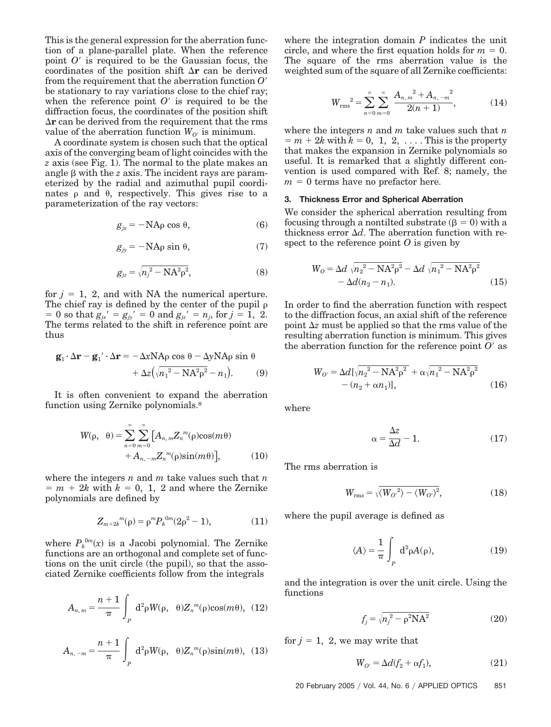This is the general expression for the aberration function of a plane-parallel plate. When the reference point  $O'$  is required to be the Gaussian focus, the coordinates of the position shift  $\Delta r$  can be derived from the requirement that the aberration function *O* be stationary to ray variations close to the chief ray; when the reference point  $O'$  is required to be the diffraction focus, the coordinates of the position shift  $\Delta r$  can be derived from the requirement that the rms value of the aberration function  $W_{O'}$  is minimum.

A coordinate system is chosen such that the optical axis of the converging beam of light coincides with the *z* axis (see Fig. 1). The normal to the plate makes an angle  $\beta$  with the  $z$  axis. The incident rays are parameterized by the radial and azimuthal pupil coordinates  $\rho$  and  $\theta$ , respectively. This gives rise to a parameterization of the ray vectors:

$$
g_{jx} = -\text{NAp}\cos\theta,\tag{6}
$$

$$
g_{jy} = -\text{NA}\rho\sin\theta,\tag{7}
$$

$$
g_{jz} = \sqrt{n_j^2 - N A^2 \rho^2},\tag{8}
$$

for  $j = 1$ , 2, and with NA the numerical aperture. The chief ray is defined by the center of the pupil  $\rho$  $= 0$  so that  $g_{jx} = g_{jy} = 0$  and  $g_{jz} = n_j$ , for  $j = 1, 2$ . The terms related to the shift in reference point are thus

$$
\mathbf{g}_1 \cdot \Delta \mathbf{r} - \mathbf{g}_1' \cdot \Delta \mathbf{r} = -\Delta x \mathbf{N} \mathbf{A} \rho \cos \theta - \Delta y \mathbf{N} \mathbf{A} \rho \sin \theta + \Delta z \left( \sqrt{n_1^2 - \mathbf{N} \mathbf{A}^2 \rho^2} - n_1 \right).
$$
 (9)

It is often convenient to expand the aberration function using Zernike polynomials.8

$$
W(\rho, \theta) = \sum_{n=0}^{\infty} \sum_{m=0}^{\infty} \left[ A_{n,m} Z_n^{m}(\rho) \cos(m\theta) + A_{n,-m} Z_n^{m}(\rho) \sin(m\theta) \right],
$$
 (10)

where the integers *n* and *m* take values such that *n*  $m + 2k$  with  $k = 0, 1, 2$  and where the Zernike polynomials are defined by

$$
Z_{m+2k}{}^{m}(\rho) = \rho^{m} P_{k}{}^{0m} (2\rho^{2} - 1), \tag{11}
$$

where  $P_k^{0m}(x)$  is a Jacobi polynomial. The Zernike functions are an orthogonal and complete set of functions on the unit circle (the pupil), so that the associated Zernike coefficients follow from the integrals

$$
A_{n,m} = \frac{n+1}{\pi} \int_{P} d^{2} \rho W(\rho, \theta) Z_{n}^{m}(\rho) \cos(m\theta), (12)
$$

$$
A_{n,-m} = \frac{n+1}{\pi} \int_{P} d^{2} \rho W(\rho, \theta) Z_{n}^{m}(\rho) \sin(m\theta), (13)
$$

where the integration domain *P* indicates the unit circle, and where the first equation holds for  $m = 0$ . The square of the rms aberration value is the weighted sum of the square of all Zernike coefficients:

$$
W_{\text{rms}}^2 = \sum_{n=0}^{\infty} \sum_{m=0}^{\infty} \frac{A_{n, m}^2 + A_{n, -m}^2}{2(n+1)},
$$
(14)

where the integers *n* and *m* take values such that *n*  $m = m + 2k$  with  $k = 0, 1, 2, \ldots$  This is the property that makes the expansion in Zernike polynomials so useful. It is remarked that a slightly different convention is used compared with Ref. 8; namely, the  $m = 0$  terms have no prefactor here.

## **3. Thickness Error and Spherical Aberration**

We consider the spherical aberration resulting from focusing through a nontilted substrate  $(\beta = 0)$  with a thickness error  $\Delta d$ . The aberration function with respect to the reference point *O* is given by

$$
W_0 = \Delta d \sqrt{n_2^2 - N A^2 \rho^2} - \Delta d \sqrt{n_1^2 - N A^2 \rho^2} - \Delta d (n_2 - n_1).
$$
 (15)

In order to find the aberration function with respect to the diffraction focus, an axial shift of the reference point  $\Delta z$  must be applied so that the rms value of the resulting aberration function is minimum. This gives the aberration function for the reference point  $O'$  as

$$
W_{O'} = \Delta d[\sqrt{n_2^2 - NA^2\rho^2} + \alpha \sqrt{n_1^2 - NA^2\rho^2} - (n_2 + \alpha n_1)],
$$
 (16)

where

$$
\alpha = \frac{\Delta z}{\Delta d} - 1. \tag{17}
$$

The rms aberration is

$$
W_{\rm rms} = \sqrt{\langle W_{O'}^2 \rangle - \langle W_{O'} \rangle^2},\tag{18}
$$

where the pupil average is defined as

$$
\langle A \rangle = \frac{1}{\pi} \int_{P} d^{2} \rho A(\rho), \qquad (19)
$$

and the integration is over the unit circle. Using the functions

$$
f_j = \sqrt{n_j^2 - \rho^2 N A^2}
$$
 (20)

for  $j = 1, 2$ , we may write that

$$
W_{O'} = \Delta d(f_2 + \alpha f_1),\tag{21}
$$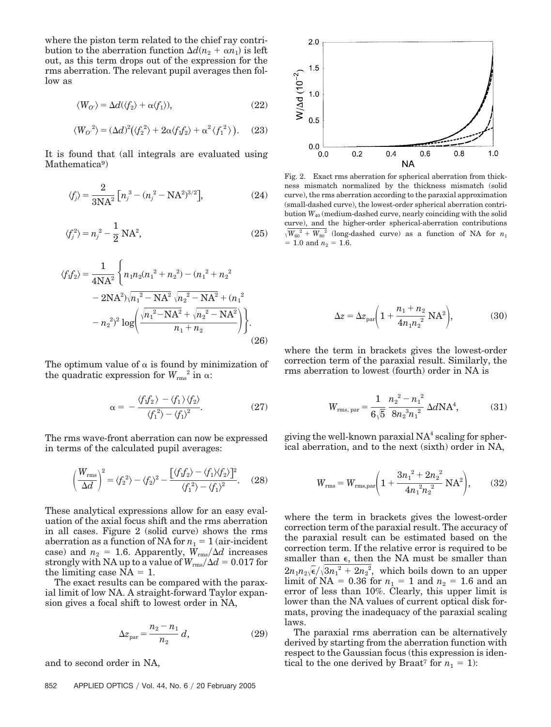where the piston term related to the chief ray contribution to the aberration function  $\Delta d(n_2 + \alpha n_1)$  is left out, as this term drops out of the expression for the rms aberration. The relevant pupil averages then follow as

$$
\langle W_{O'} \rangle = \Delta d(\langle f_2 \rangle + \alpha \langle f_1 \rangle), \tag{22}
$$

$$
\langle W_{O'}^2 \rangle = (\Delta d)^2 (\langle f_2^2 \rangle + 2\alpha \langle f_1 f_2 \rangle + \alpha^2 \langle f_1^2 \rangle). \quad (23)
$$

It is found that (all integrals are evaluated using Mathematica<sup>9</sup>

$$
\langle f_j \rangle = \frac{2}{3NA^2} \left[ n_j^3 - (n_j^2 - NA^2)^{3/2} \right],
$$
 (24)

$$
\langle f_j^2 \rangle = n_j^2 - \frac{1}{2} \text{NA}^2,\tag{25}
$$

$$
\langle f_1 f_2 \rangle = \frac{1}{4NA^2} \left\{ n_1 n_2 (n_1^2 + n_2^2) - (n_1^2 + n_2^2 - 2NA^2) \sqrt{n_1^2 - NA^2} \sqrt{n_2^2 - NA^2} + (n_1^2 - n_2^2)^2 \log \left( \frac{\sqrt{n_1^2 - NA^2} + \sqrt{n_2^2 - NA^2}}{n_1 + n_2} \right) \right\}.
$$
\n(26)

The optimum value of  $\alpha$  is found by minimization of the quadratic expression for  $W_{\rm rms}^2$  in  $\alpha$ :

$$
\alpha = -\frac{\langle f_1 f_2 \rangle - \langle f_1 \rangle \langle f_2 \rangle}{\langle f_1^2 \rangle - \langle f_1 \rangle^2}.
$$
 (27)

The rms wave-front aberration can now be expressed in terms of the calculated pupil averages:

$$
\left(\frac{W_{\rm rms}}{\Delta d}\right)^2 = \langle f_2^2 \rangle - \langle f_2 \rangle^2 - \frac{\left[\langle f_1 f_2 \rangle - \langle f_1 \rangle \langle f_2 \rangle\right]^2}{\langle f_1^2 \rangle - \langle f_1 \rangle^2}.
$$
 (28)

These analytical expressions allow for an easy evaluation of the axial focus shift and the rms aberration in all cases. Figure 2 (solid curve) shows the rms aberration as a function of NA for  $n_1 = 1$  (air-incident case) and  $n_2 = 1.6$ . Apparently,  $W_{\text{rms}}/\Delta d$  increases strongly with NA up to a value of  $W_{\text{rms}}/\Delta d = 0.017$  for the limiting case  $NA = 1$ .

The exact results can be compared with the paraxial limit of low NA. A straight-forward Taylor expansion gives a focal shift to lowest order in NA,

$$
\Delta z_{\rm par} = \frac{n_2 - n_1}{n_2} \, d,\tag{29}
$$

and to second order in NA,



Fig. 2. Exact rms aberration for spherical aberration from thickness mismatch normalized by the thickness mismatch (solid curve), the rms aberration according to the paraxial approximation (small-dashed curve), the lowest-order spherical aberration contribution *W*<sup>40</sup> (medium-dashed curve, nearly coinciding with the solid curve), and the higher-order spherical-aberration contributions  $\sqrt{W_{60}^2 + W_{80}^2}$  (long-dashed curve) as a function of NA for  $n_1$  $= 1.0$  and  $n_2 = 1.6$ .

$$
\Delta z = \Delta z_{\text{par}} \left( 1 + \frac{n_1 + n_2}{4n_1 n_2^2} \text{NA}^2 \right),\tag{30}
$$

where the term in brackets gives the lowest-order correction term of the paraxial result. Similarly, the rms aberration to lowest (fourth) order in NA is

$$
W_{\rm rms, par} = \frac{1}{6\sqrt{5}} \frac{n_2^2 - n_1^2}{8n_2^3 n_1^2} \Delta d\mathbf{N} \mathbf{A}^4,\tag{31}
$$

giving the well-known paraxial  $NA<sup>4</sup>$  scaling for spherical aberration, and to the next (sixth) order in NA,

$$
W_{\rm rms} = W_{\rm rms, par} \bigg( 1 + \frac{3n_1^2 + 2n_2^2}{4n_1^2n_2^2} \text{NA}^2 \bigg), \qquad (32)
$$

where the term in brackets gives the lowest-order correction term of the paraxial result. The accuracy of the paraxial result can be estimated based on the correction term. If the relative error is required to be smaller than  $\epsilon$ , then the NA must be smaller than  $2n_1n_2\sqrt{\epsilon}/\sqrt{3n_1^2+2n_2^2}$ , which boils down to an upper  $\text{limit of NA} = 0.36 \text{ for } n_1 = 1 \text{ and } n_2 = 1.6 \text{ and an}$ error of less than 10%. Clearly, this upper limit is lower than the NA values of current optical disk formats, proving the inadequacy of the paraxial scaling laws.

The paraxial rms aberration can be alternatively derived by starting from the aberration function with respect to the Gaussian focus (this expression is identical to the one derived by Braat<sup>7</sup> for  $n_1 = 1$ ):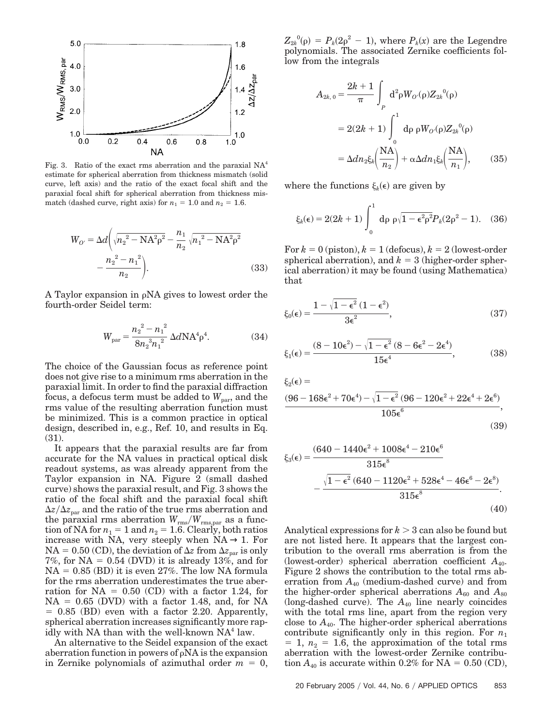

Fig. 3. Ratio of the exact rms aberration and the paraxial  $NA<sup>4</sup>$ estimate for spherical aberration from thickness mismatch (solid curve, left axis) and the ratio of the exact focal shift and the paraxial focal shift for spherical aberration from thickness mismatch (dashed curve, right axis) for  $n_1 = 1.0$  and  $n_2 = 1.6$ .

$$
W_{O'} = \Delta d \left( \sqrt{n_2^2 - N A^2 \rho^2} - \frac{n_1}{n_2} \sqrt{n_1^2 - N A^2 \rho^2} - \frac{n_2^2 - n_1^2}{n_2} \right).
$$
 (33)

A Taylor expansion in  $\rho$ NA gives to lowest order the fourth-order Seidel term:

$$
W_{\text{par}} = \frac{n_2^2 - n_1^2}{8n_2^3n_1^2} \Delta d\mathbf{N} A^4 \rho^4. \tag{34}
$$

The choice of the Gaussian focus as reference point does not give rise to a minimum rms aberration in the paraxial limit. In order to find the paraxial diffraction focus, a defocus term must be added to  $W_{\text{par}}$ , and the rms value of the resulting aberration function must be minimized. This is a common practice in optical design, described in, e.g., Ref. 10, and results in Eq. (31).

It appears that the paraxial results are far from accurate for the NA values in practical optical disk readout systems, as was already apparent from the Taylor expansion in NA. Figure 2 (small dashed curve) shows the paraxial result, and Fig. 3 shows the ratio of the focal shift and the paraxial focal shift  $\Delta z/\Delta z_{\text{par}}$  and the ratio of the true rms aberration and the paraxial rms aberration  $W_{\rm rms}/W_{\rm rms, par}$  as a function of NA for  $n_1 = 1$  and  $n_2 = 1.6$ . Clearly, both ratios increase with NA, very steeply when  $NA \rightarrow 1$ . For  $NA = 0.50$  (CD), the deviation of  $\Delta z$  from  $\Delta z$ <sub>par</sub> is only 7%, for  $NA = 0.54$  (DVD) it is already 13%, and for  $NA = 0.85$  (BD) it is even 27%. The low NA formula for the rms aberration underestimates the true aberration for  $NA = 0.50$  (CD) with a factor 1.24, for  $NA = 0.65$  (DVD) with a factor 1.48, and, for NA  $= 0.85$  (BD) even with a factor 2.20. Apparently, spherical aberration increases significantly more rapidly with NA than with the well-known  $NA<sup>4</sup>$  law.

An alternative to the Seidel expansion of the exact aberration function in powers of  $\rho$ NA is the expansion in Zernike polynomials of azimuthal order  $m = 0$ ,

 $Z_{2k}^{\ 0}(\rho) = P_k(2\rho^2 - 1)$ , where  $P_k(x)$  are the Legendre polynomials. The associated Zernike coefficients follow from the integrals

$$
A_{2k,0} = \frac{2k+1}{\pi} \int_{P} d^{2} \rho W_{O'}(\rho) Z_{2k}^{0}(\rho)
$$
  
= 2(2k + 1)  $\int_{0}^{1} d\rho \rho W_{O'}(\rho) Z_{2k}^{0}(\rho)$   
=  $\Delta dn_{2} \xi_{k} \left( \frac{NA}{n_{2}} \right) + \alpha \Delta dn_{1} \xi_{k} \left( \frac{NA}{n_{1}} \right),$  (35)

where the functions  $\xi_k(\epsilon)$  are given by

$$
\xi_k(\epsilon) = 2(2k+1) \int_0^1 \, \mathrm{d}\rho \, \rho \sqrt{1 - \epsilon^2 \rho^2} P_k(2\rho^2 - 1). \quad (36)
$$

For  $k = 0$  (piston),  $k = 1$  (defocus),  $k = 2$  (lowest-order spherical aberration), and  $k = 3$  (higher-order spherical aberration) it may be found (using Mathematica) that

$$
\xi_0(\epsilon) = \frac{1 - \sqrt{1 - \epsilon^2} (1 - \epsilon^2)}{3\epsilon^2},\tag{37}
$$

$$
\xi_1(\epsilon) = \frac{(8 - 10\epsilon^2) - \sqrt{1 - \epsilon^2} (8 - 6\epsilon^2 - 2\epsilon^4)}{15\epsilon^4},
$$
\n(38)

$$
\xi_2(\epsilon) =
$$
\n
$$
\frac{(96 - 168\epsilon^2 + 70\epsilon^4) - \sqrt{1 - \epsilon^2 (96 - 120\epsilon^2 + 22\epsilon^4 + 2\epsilon^6)}}{105\epsilon^6},
$$
\n
$$
(39)
$$

$$
\xi_3(\epsilon) = \frac{(640 - 1440\epsilon^2 + 1008\epsilon^4 - 210\epsilon^6)}{315\epsilon^8} - \frac{\sqrt{1 - \epsilon^2 (640 - 1120\epsilon^2 + 528\epsilon^4 - 46\epsilon^6 - 2\epsilon^8)}}{315\epsilon^8}.
$$
\n(40)

Analytical expressions for  $k > 3$  can also be found but are not listed here. It appears that the largest contribution to the overall rms aberration is from the (lowest-order) spherical aberration coefficient  $A_{40}$ . Figure 2 shows the contribution to the total rms aberration from  $A_{40}$  (medium-dashed curve) and from the higher-order spherical aberrations  $A_{60}$  and  $A_{80}$ (long-dashed curve). The  $A_{40}$  line nearly coincides with the total rms line, apart from the region very close to  $A_{40}$ . The higher-order spherical aberrations contribute significantly only in this region. For  $n_1$  $= 1, n_2 = 1.6$ , the approximation of the total rms aberration with the lowest-order Zernike contribution  $A_{40}$  is accurate within 0.2% for NA = 0.50 (CD),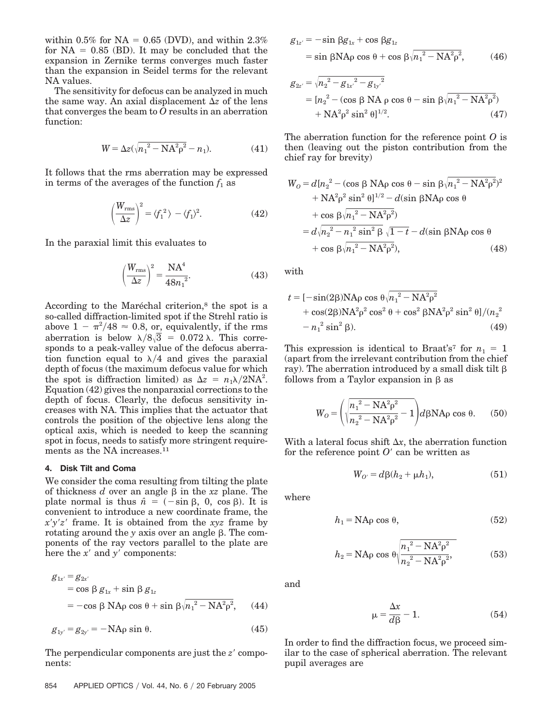within 0.5% for  $NA = 0.65$  (DVD), and within 2.3% for  $NA = 0.85$  (BD). It may be concluded that the expansion in Zernike terms converges much faster than the expansion in Seidel terms for the relevant NA values.

The sensitivity for defocus can be analyzed in much the same way. An axial displacement  $\Delta z$  of the lens that converges the beam to *O* results in an aberration function:

$$
W = \Delta z (\sqrt{n_1^2 - N A^2 \rho^2} - n_1).
$$
 (41)

It follows that the rms aberration may be expressed in terms of the averages of the function  $f_1$  as

$$
\left(\frac{W_{\rm rms}}{\Delta z}\right)^2 = \langle f_1^2 \rangle - \langle f_1 \rangle^2. \tag{42}
$$

In the paraxial limit this evaluates to

$$
\left(\frac{W_{\rm rms}}{\Delta z}\right)^2 = \frac{\rm NA^4}{48n_1^2}.\tag{43}
$$

According to the Maréchal criterion,<sup>8</sup> the spot is a so-called diffraction-limited spot if the Strehl ratio is above  $1 - \pi^2/48 \approx 0.8$ , or, equivalently, if the rms aberration is below  $\lambda/8\sqrt{3}$  = 0.072  $\lambda$ . This corresponds to a peak-valley value of the defocus aberration function equal to  $\lambda/4$  and gives the paraxial depth of focus (the maximum defocus value for which the spot is diffraction limited) as  $\Delta z = n_1 \lambda / 2NA^2$ . Equation (42) gives the nonparaxial corrections to the depth of focus. Clearly, the defocus sensitivity increases with NA. This implies that the actuator that controls the position of the objective lens along the optical axis, which is needed to keep the scanning spot in focus, needs to satisfy more stringent requirements as the NA increases.11

## **4. Disk Tilt and Coma**

We consider the coma resulting from tilting the plate of thickness  $d$  over an angle  $\beta$  in the  $xz$  plane. The plate normal is thus  $\hat{n} = (-\sin \beta, 0, \cos \beta)$ . It is convenient to introduce a new coordinate frame, the *xyz* frame. It is obtained from the *xyz* frame by rotating around the  $y$  axis over an angle  $\beta$ . The components of the ray vectors parallel to the plate are here the  $x'$  and  $y'$  components:

$$
g_{1x'} = g_{2x'}
$$
  
= cos  $\beta$  g<sub>1x</sub> + sin  $\beta$  g<sub>1z</sub>  
= -cos  $\beta$  NAp cos  $\theta$  + sin  $\beta \sqrt{n_1^2 - NA^2 \rho^2}$ , (44)

$$
g_{1y'} = g_{2y'} = -\text{NA}\rho \sin \theta. \tag{45}
$$

The perpendicular components are just the  $z'$  components:

$$
g_{1z'} = -\sin \beta g_{1x} + \cos \beta g_{1z}
$$
  
= sin  $\beta$ NAp cos  $\theta$  + cos  $\beta \sqrt{n_1^2 - NA^2 \rho^2}$ , (46)

$$
g_{2z'} = \sqrt{n_2^2 - g_{1x'}^2 - g_{1y'}^2}
$$
  
=  $[n_2^2 - (\cos \beta \text{ NA } \rho \cos \theta - \sin \beta \sqrt{n_1^2 - \text{NA}^2 \rho^2})$   
+  $\text{NA}^2 \rho^2 \sin^2 \theta]^{1/2}$ . (47)

The aberration function for the reference point *O* is then (leaving out the piston contribution from the chief ray for brevity)

$$
W_O = d[n_2^2 - (\cos \beta \text{ NAp} \cos \theta - \sin \beta/n_1^2 - \text{NA}^2 \rho^2)^2
$$
  
+ 
$$
\text{NA}^2 \rho^2 \sin^2 \theta^{1/2} - d(\sin \beta \text{NAp} \cos \theta
$$
  
+ 
$$
\cos \beta \sqrt{n_1^2 - \text{NA}^2 \rho^2}
$$
  
= 
$$
d\sqrt{n_2^2 - n_1^2 \sin^2 \beta} \sqrt{1 - t} - d(\sin \beta \text{NAp} \cos \theta
$$
  
+ 
$$
\cos \beta \sqrt{n_1^2 - \text{NA}^2 \rho^2}
$$
, (48)

with

$$
t = [-\sin(2\beta)NA\rho\cos\theta\sqrt{n_1^2 - NA^2\rho^2} + \cos(2\beta)NA^2\rho^2\cos^2\theta + \cos^2\beta NA^2\rho^2\sin^2\theta]/(n_2^2 - n_1^2\sin^2\beta).
$$
 (49)

This expression is identical to Braat's<sup>7</sup> for  $n_1 = 1$ (apart from the irrelevant contribution from the chief ray). The aberration introduced by a small disk tilt  $\beta$ follows from a Taylor expansion in  $\beta$  as

$$
W_O = \left( \sqrt{\frac{n_1^2 - \text{NA}^2 \rho^2}{n_2^2 - \text{NA}^2 \rho^2} - 1} \right) d\beta \text{NA}\rho \cos \theta. \quad (50)
$$

With a lateral focus shift  $\Delta x$ , the aberration function for the reference point  $O'$  can be written as

$$
W_{O'} = d\beta (h_2 + \mu h_1),
$$
\n(51)

where

$$
h_1 = \text{NAp} \cos \theta, \tag{52}
$$

$$
h_2 = \text{NAp} \cos \theta \sqrt{\frac{n_1^2 - \text{NA}^2 \rho^2}{n_2^2 - \text{NA}^2 \rho^2}},\tag{53}
$$

and

$$
\mu = \frac{\Delta x}{d\beta} - 1. \tag{54}
$$

In order to find the diffraction focus, we proceed similar to the case of spherical aberration. The relevant pupil averages are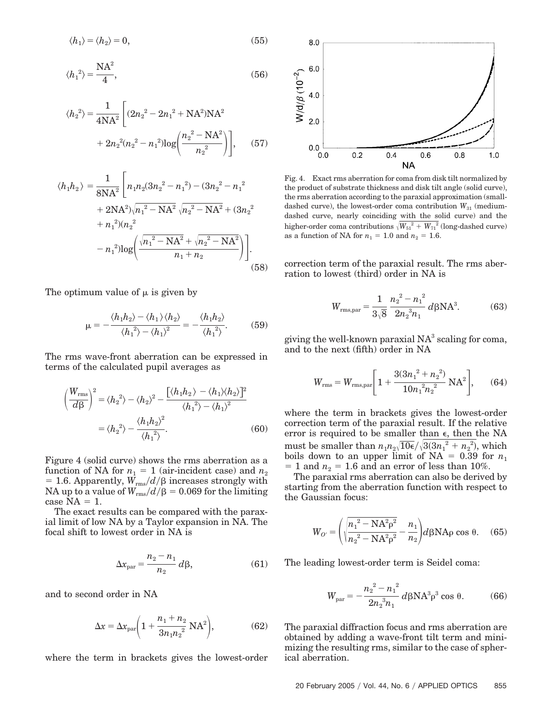$$
\langle h_1 \rangle = \langle h_2 \rangle = 0, \tag{55}
$$

$$
\langle {h_1}^2 \rangle = \frac{\text{NA}^2}{4},\tag{56}
$$

$$
\langle h_2^2 \rangle = \frac{1}{4NA^2} \left[ (2n_2^2 - 2n_1^2 + NA^2)NA^2 + 2n_2^2(n_2^2 - n_1^2) \log \left( \frac{n_2^2 - NA^2}{n_2^2} \right) \right],
$$
 (57)

$$
\langle h_1 h_2 \rangle = \frac{1}{8NA^2} \left[ n_1 n_2 (3n_2^2 - n_1^2) - (3n_2^2 - n_1^2) + 2NA^2 \sqrt{n_1^2 - NA^2} \sqrt{n_2^2 - NA^2} + (3n_2^2 + n_1^2)(n_2^2 - n_1^2) \log \left( \frac{\sqrt{n_1^2 - NA^2} + \sqrt{n_2^2 - NA^2}}{n_1 + n_2} \right) \right].
$$
\n(58)

The optimum value of  $\mu$  is given by

$$
\mu = -\frac{\langle h_1 h_2 \rangle - \langle h_1 \rangle \langle h_2 \rangle}{\langle h_1^2 \rangle - \langle h_1 \rangle^2} = -\frac{\langle h_1 h_2 \rangle}{\langle h_1^2 \rangle}.
$$
 (59)

The rms wave-front aberration can be expressed in terms of the calculated pupil averages as

$$
\left(\frac{W_{\rm rms}}{d\beta}\right)^2 = \langle h_2^2 \rangle - \langle h_2 \rangle^2 - \frac{\left[\langle h_1 h_2 \rangle - \langle h_1 \rangle \langle h_2 \rangle\right]^2}{\langle h_1^2 \rangle - \langle h_1 \rangle^2}
$$

$$
= \langle h_2^2 \rangle - \frac{\langle h_1 h_2 \rangle^2}{\langle h_1^2 \rangle}.
$$
(60)

Figure 4 (solid curve) shows the rms aberration as a function of NA for  $n_1 = 1$  (air-incident case) and  $n_2$  $= 1.6$ . Apparently,  $W_{\rm rms}/d/\beta$  increases strongly with  $\rm NA$  up to a value of  $W_{\rm rms}/d/\beta = 0.069$  for the limiting case  $NA = 1$ .

The exact results can be compared with the paraxial limit of low NA by a Taylor expansion in NA. The focal shift to lowest order in NA is

$$
\Delta x_{\text{par}} = \frac{n_2 - n_1}{n_2} d\beta,\tag{61}
$$

and to second order in NA

$$
\Delta x = \Delta x_{\text{par}} \bigg( 1 + \frac{n_1 + n_2}{3n_1 n_2^2} \, \text{NA}^2 \bigg),\tag{62}
$$

where the term in brackets gives the lowest-order



Fig. 4. Exact rms aberration for coma from disk tilt normalized by the product of substrate thickness and disk tilt angle (solid curve), the rms aberration according to the paraxial approximation (smalldashed curve), the lowest-order coma contribution  $W_{31}$  (mediumdashed curve, nearly coinciding with the solid curve) and the higher-order coma contributions  $\sqrt{W_{51}^2 + W_{71}^2}$  (long-dashed curve) as a function of NA for  $n_1 = 1.0$  and  $n_2 = 1.6$ .

correction term of the paraxial result. The rms aberration to lowest (third) order in NA is

$$
W_{\rm rms, par} = \frac{1}{3\sqrt{8}} \frac{{n_2}^2 - {n_1}^2}{2n_2^3 n_1} d\beta \, NA^3. \tag{63}
$$

giving the well-known paraxial  $NA^3$  scaling for coma, and to the next (fifth) order in NA

$$
W_{\rm rms} = W_{\rm rms, par} \left[ 1 + \frac{3(3n_1^2 + n_2^2)}{10n_1^2n_2^2} \text{NA}^2 \right], \qquad (64)
$$

where the term in brackets gives the lowest-order correction term of the paraxial result. If the relative error is required to be smaller than  $\epsilon$ , then the NA must be smaller than  $n_1 n_2 \sqrt{10\epsilon}/\sqrt{3(3n_1^2 + n_2^2)}$ , which boils down to an upper limit of  $NA = 0.39$  for  $n_1$  $= 1$  and  $n_2 = 1.6$  and an error of less than 10%.

The paraxial rms aberration can also be derived by starting from the aberration function with respect to the Gaussian focus:

$$
W_{O'} = \left(\sqrt{\frac{n_1^2 - NA^2 \rho^2}{n_2^2 - NA^2 \rho^2}} - \frac{n_1}{n_2}\right) d\beta N A \rho \cos \theta. \quad (65)
$$

The leading lowest-order term is Seidel coma:

$$
W_{\text{par}} = -\frac{n_2^2 - n_1^2}{2n_2^3n_1} d\beta \text{NA}^3 \rho^3 \cos \theta. \tag{66}
$$

The paraxial diffraction focus and rms aberration are obtained by adding a wave-front tilt term and minimizing the resulting rms, similar to the case of spherical aberration.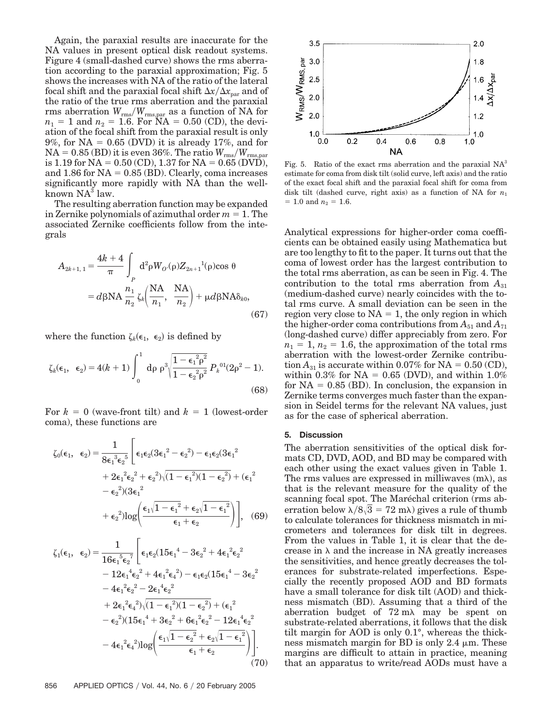Again, the paraxial results are inaccurate for the NA values in present optical disk readout systems. Figure 4 (small-dashed curve) shows the rms aberration according to the paraxial approximation; Fig. 5 shows the increases with NA of the ratio of the lateral focal shift and the paraxial focal shift  $\Delta x/\Delta x_{\text{nar}}$  and of the ratio of the true rms aberration and the paraxial rms aberration *W*rms*W*rms,par as a function of NA for  $n_1 = 1$  and  $n_2 = 1.6$ . For  $NA = 0.50$  (CD), the deviation of the focal shift from the paraxial result is only 9%, for  $NA = 0.65$  (DVD) it is already 17%, and for  $NA = 0.85$  (BD) it is even 36%. The ratio  $W_{\rm rms}/W_{\rm rms, par}$ is 1.19 for NA =  $0.50$  (CD), 1.37 for NA =  $0.65$  (DVD), and  $1.86$  for  $NA = 0.85$  (BD). Clearly, coma increases significantly more rapidly with NA than the wellknown  $NA^3$  law.

The resulting aberration function may be expanded in Zernike polynomials of azimuthal order  $m = 1$ . The associated Zernike coefficients follow from the integrals

$$
A_{2k+1,1} = \frac{4k+4}{\pi} \int_{P} d^2 \rho W_{O'}(\rho) Z_{2n+1}^{-1}(\rho) \cos \theta
$$
  
=  $d\beta N A \frac{n_1}{n_2} \zeta_k \left(\frac{N A}{n_1}, \frac{N A}{n_2}\right) + \mu d\beta N A \delta_{k0},$  (67)

where the function  $\zeta_k(\epsilon_1, \epsilon_2)$  is defined by

$$
\zeta_{k}(\epsilon_{1}, \ \epsilon_{2}) = 4(k+1) \int_{0}^{1} d\rho \ \rho^{3} \sqrt{\frac{1 - \epsilon_{1}^{2} \rho^{2}}{1 - \epsilon_{2}^{2} \rho^{2}}} P_{k}^{01} (2\rho^{2} - 1).
$$
\n(68)

For  $k = 0$  (wave-front tilt) and  $k = 1$  (lowest-order coma), these functions are

$$
\zeta_0(\epsilon_1, \ \epsilon_2) = \frac{1}{8\epsilon_1^3\epsilon_2^5} \left[ \epsilon_1 \epsilon_2 (3\epsilon_1^2 - \epsilon_2^2) - \epsilon_1 \epsilon_2 (3\epsilon_1^2 + 2\epsilon_1^2 \epsilon_2^2 + \epsilon_2^2) \sqrt{(1 - \epsilon_1^2)(1 - \epsilon_2^2)} + (\epsilon_1^2 - \epsilon_2^2)(3\epsilon_1^2 + \epsilon_2^2) \log \left( \frac{\epsilon_1 \sqrt{1 - \epsilon_1^2} + \epsilon_2 \sqrt{1 - \epsilon_1^2}}{\epsilon_1 + \epsilon_2} \right) \right], \quad (69)
$$

$$
\zeta_{1}(\epsilon_{1}, \ \epsilon_{2}) = \frac{1}{16\epsilon_{1}^{5}\epsilon_{2}^{7}} \Bigg[ \epsilon_{1}\epsilon_{2}(15\epsilon_{1}^{4} - 3\epsilon_{2}^{2} + 4\epsilon_{1}^{2}\epsilon_{2}^{2} - 12\epsilon_{1}^{4}\epsilon_{2}^{2} + 4\epsilon_{1}^{2}\epsilon_{4}^{2}) - \epsilon_{1}\epsilon_{2}(15\epsilon_{1}^{4} - 3\epsilon_{2}^{2} - 4\epsilon_{1}^{2}\epsilon_{2}^{2} - 2\epsilon_{1}^{4}\epsilon_{2}^{2} - 4\epsilon_{1}^{2}\epsilon_{4}^{2})\sqrt{(1 - \epsilon_{1}^{2})(1 - \epsilon_{2}^{2})} + (\epsilon_{1}^{2} - \epsilon_{2}^{2})(15\epsilon_{1}^{4} + 3\epsilon_{2}^{2} + 6\epsilon_{1}^{2}\epsilon_{2}^{2} - 12\epsilon_{1}^{4}\epsilon_{2}^{2} - 4\epsilon_{1}^{2}\epsilon_{4}^{2})\log\left(\frac{\epsilon_{1}\sqrt{1 - \epsilon_{2}^{2}} + \epsilon_{2}\sqrt{1 - \epsilon_{1}^{2}}}{\epsilon_{1} + \epsilon_{2}}\right)\Bigg]. \tag{70}
$$



Fig. 5. Ratio of the exact rms aberration and the paraxial  $NA<sup>3</sup>$ estimate for coma from disk tilt (solid curve, left axis) and the ratio of the exact focal shift and the paraxial focal shift for coma from disk tilt (dashed curve, right axis) as a function of NA for *n*<sup>1</sup>  $= 1.0$  and  $n_2 = 1.6$ .

Analytical expressions for higher-order coma coefficients can be obtained easily using Mathematica but are too lengthy to fit to the paper. It turns out that the coma of lowest order has the largest contribution to the total rms aberration, as can be seen in Fig. 4. The contribution to the total rms aberration from  $A_{31}$ (medium-dashed curve) nearly coincides with the total rms curve. A small deviation can be seen in the region very close to  $NA = 1$ , the only region in which the higher-order coma contributions from  $A_{51}$  and  $A_{71}$ (long-dashed curve) differ appreciably from zero. For  $n_1 = 1$ ,  $n_2 = 1.6$ , the approximation of the total rms aberration with the lowest-order Zernike contribution  $A_{31}$  is accurate within 0.07% for NA = 0.50 (CD), within 0.3% for  $NA = 0.65$  (DVD), and within 1.0% for  $NA = 0.85$  (BD). In conclusion, the expansion in Zernike terms converges much faster than the expansion in Seidel terms for the relevant NA values, just as for the case of spherical aberration.

## **5. Discussion**

The aberration sensitivities of the optical disk formats CD, DVD, AOD, and BD may be compared with each other using the exact values given in Table 1. The rms values are expressed in milliwaves  $(m\lambda)$ , as that is the relevant measure for the quality of the scanning focal spot. The Maréchal criterion (rms aberration below  $\lambda/8\sqrt{3} = 72$  m $\lambda$ ) gives a rule of thumb to calculate tolerances for thickness mismatch in micrometers and tolerances for disk tilt in degrees. From the values in Table 1, it is clear that the decrease in  $\lambda$  and the increase in NA greatly increases the sensitivities, and hence greatly decreases the tolerances for substrate-related imperfections. Especially the recently proposed AOD and BD formats have a small tolerance for disk tilt (AOD) and thickness mismatch (BD). Assuming that a third of the aberration budget of  $72 \text{ mA}$  may be spent on substrate-related aberrations, it follows that the disk tilt margin for AOD is only 0.1°, whereas the thickness mismatch margin for BD is only  $2.4 \mu m$ . These margins are difficult to attain in practice, meaning that an apparatus to write/read AODs must have a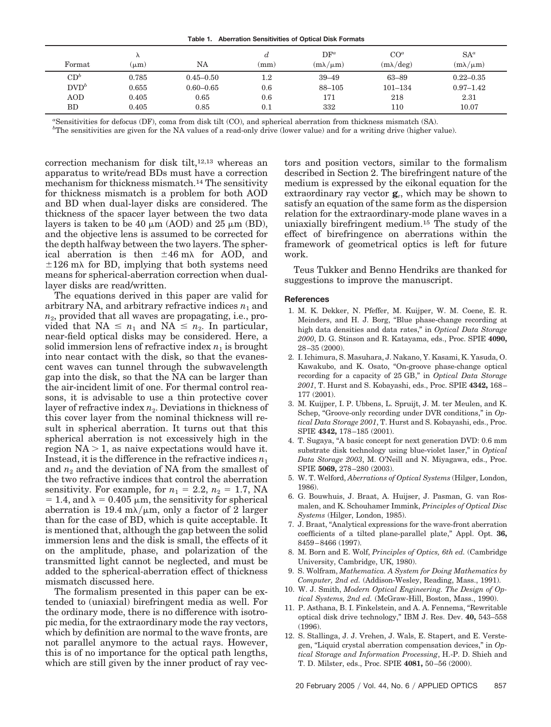|  | Table 1. Aberration Sensitivities of Optical Disk Formats |  |  |
|--|-----------------------------------------------------------|--|--|
|  |                                                           |  |  |

| Format           | $\Lambda$<br>$(\mu m)$ | NA            | d<br>$\textup{(mm)}$ | $DF^a$<br>$(m\lambda/\mu m)$ | CO <sup>a</sup><br>$(m\lambda$ /deg) | $SA^a$<br>$(m\lambda/\mu m)$ |
|------------------|------------------------|---------------|----------------------|------------------------------|--------------------------------------|------------------------------|
| $CD^b$           | 0.785                  | $0.45 - 0.50$ | $1.2\,$              | $39 - 49$                    | 63–89                                | $0.22 - 0.35$                |
| $\mathrm{DVD}^b$ | 0.655                  | $0.60 - 0.65$ | 0.6                  | 88-105                       | $101 - 134$                          | $0.97 - 1.42$                |
| <b>AOD</b>       | 0.405                  | 0.65          | 0.6                  | 171                          | 218                                  | 2.31                         |
| BD               | 0.405                  | 0.85          | 0.1                  | 332                          | 110                                  | 10.07                        |

*a* Sensitivities for defocus (DF), coma from disk tilt (CO), and spherical aberration from thickness mismatch (SA).

*b* The sensitivities are given for the NA values of a read-only drive (lower value) and for a writing drive (higher value).

correction mechanism for disk tilt,12,13 whereas an apparatus to write/read BDs must have a correction mechanism for thickness mismatch.14 The sensitivity for thickness mismatch is a problem for both AOD and BD when dual-layer disks are considered. The thickness of the spacer layer between the two data layers is taken to be 40  $\mu$ m (AOD) and 25  $\mu$ m (BD), and the objective lens is assumed to be corrected for the depth halfway between the two layers. The spherical aberration is then  $\pm 46$  m $\lambda$  for AOD, and  $\pm 126$  m $\lambda$  for BD, implying that both systems need means for spherical-aberration correction when duallayer disks are read/written.

The equations derived in this paper are valid for arbitrary NA, and arbitrary refractive indices  $n_1$  and *n*2, provided that all waves are propagating, i.e., provided that  $NA \leq n_1$  and  $NA \leq n_2$ . In particular, near-field optical disks may be considered. Here, a solid immersion lens of refractive index  $n_1$  is brought into near contact with the disk, so that the evanescent waves can tunnel through the subwavelength gap into the disk, so that the NA can be larger than the air-incident limit of one. For thermal control reasons, it is advisable to use a thin protective cover layer of refractive index  $n_2$ . Deviations in thickness of this cover layer from the nominal thickness will result in spherical aberration. It turns out that this spherical aberration is not excessively high in the region  $NA > 1$ , as naive expectations would have it. Instead, it is the difference in the refractive indices  $n_1$ and  $n_2$  and the deviation of NA from the smallest of the two refractive indices that control the aberration sensitivity. For example, for  $n_1 = 2.2$ ,  $n_2 = 1.7$ , NA  $= 1.4$ , and  $\lambda = 0.405 \mu m$ , the sensitivity for spherical aberration is 19.4 m $\lambda/\mu$ m, only a factor of 2 larger than for the case of BD, which is quite acceptable. It is mentioned that, although the gap between the solid immersion lens and the disk is small, the effects of it on the amplitude, phase, and polarization of the transmitted light cannot be neglected, and must be added to the spherical-aberration effect of thickness mismatch discussed here.

The formalism presented in this paper can be extended to (uniaxial) birefringent media as well. For the ordinary mode, there is no difference with isotropic media, for the extraordinary mode the ray vectors, which by definition are normal to the wave fronts, are not parallel anymore to the actual rays. However, this is of no importance for the optical path lengths, which are still given by the inner product of ray vectors and position vectors, similar to the formalism described in Section 2. The birefringent nature of the medium is expressed by the eikonal equation for the extraordinary ray vector **g***e*, which may be shown to satisfy an equation of the same form as the dispersion relation for the extraordinary-mode plane waves in a uniaxially birefringent medium.15 The study of the effect of birefringence on aberrations within the framework of geometrical optics is left for future work.

Teus Tukker and Benno Hendriks are thanked for suggestions to improve the manuscript.

#### **References**

- 1. M. K. Dekker, N. Pfeffer, M. Kuijper, W. M. Coene, E. R. Meinders, and H. J. Borg, "Blue phase-change recording at high data densities and data rates," in *Optical Data Storage 2000*, D. G. Stinson and R. Katayama, eds., Proc. SPIE **4090,** 28–35 (2000).
- 2. I. Ichimura, S. Masuhara, J. Nakano, Y. Kasami, K. Yasuda, O. Kawakubo, and K. Osato, "On-groove phase-change optical recording for a capacity of 25 GB," in *Optical Data Storage 2001*, T. Hurst and S. Kobayashi, eds., Proc. SPIE **4342,** 168– 177 (2001).
- 3. M. Kuijper, I. P. Ubbens, L. Spruijt, J. M. ter Meulen, and K. Schep, "Groove-only recording under DVR conditions," in *Optical Data Storage 2001*, T. Hurst and S. Kobayashi, eds., Proc. SPIE **4342,** 178–185 (2001).
- 4. T. Sugaya, "A basic concept for next generation DVD: 0.6 mm substrate disk technology using blue-violet laser," in *Optical Data Storage 2003*, M. O'Neill and N. Miyagawa, eds., Proc. SPIE **5069,** 278–280 (2003).
- 5. W. T. Welford, *Aberrations of Optical Systems* (Hilger, London, 1986).
- 6. G. Bouwhuis, J. Braat, A. Huijser, J. Pasman, G. van Rosmalen, and K. Schouhamer Immink, *Principles of Optical Disc Systems* (Hilger, London, 1985).
- 7. J. Braat, "Analytical expressions for the wave-front aberration coefficients of a tilted plane-parallel plate," Appl. Opt. **36,** 8459–8466 (1997).
- 8. M. Born and E. Wolf, *Principles of Optics, 6th ed.* (Cambridge University, Cambridge, UK, 1980).
- 9. S. Wolfram, *Mathematica. A System for Doing Mathematics by Computer, 2nd ed.* (Addison-Wesley, Reading, Mass., 1991).
- 10. W. J. Smith, *Modern Optical Engineering. The Design of Optical Systems, 2nd ed.* (McGraw-Hill, Boston, Mass., 1990).
- 11. P. Asthana, B. I. Finkelstein, and A. A. Fennema, "Rewritable optical disk drive technology," IBM J. Res. Dev. **40,** 543–558 (1996).
- 12. S. Stallinga, J. J. Vrehen, J. Wals, E. Stapert, and E. Verstegen, "Liquid crystal aberration compensation devices," in *Optical Storage and Information Processing*, H.-P. D. Shieh and T. D. Milster, eds., Proc. SPIE **4081,** 50–56 (2000).